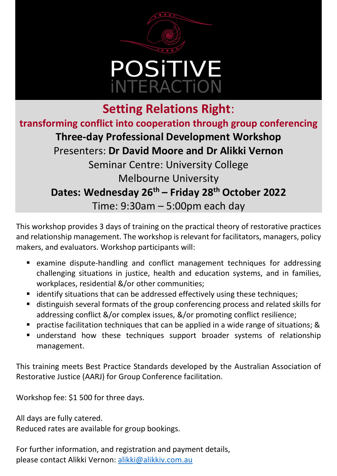

## **Setting Relations Right**: **transforming conflict into cooperation through group conferencing Three-day Professional Development Workshop** Presenters: **Dr David Moore and Dr Alikki Vernon** Seminar Centre: University College Melbourne University **Dates: Wednesday 26th – Friday 28th October 2022** Time: 9:30am – 5:00pm each day

This workshop provides 3 days of training on the practical theory of restorative practices and relationship management. The workshop is relevant for facilitators, managers, policy makers, and evaluators. Workshop participants will:

- examine dispute-handling and conflict management techniques for addressing challenging situations in justice, health and education systems, and in families, workplaces, residential &/or other communities;
- identify situations that can be addressed effectively using these techniques;
- distinguish several formats of the group conferencing process and related skills for addressing conflict &/or complex issues, &/or promoting conflict resilience;
- practise facilitation techniques that can be applied in a wide range of situations; &
- understand how these techniques support broader systems of relationship management.

This training meets Best Practice Standards developed by the Australian Association of Restorative Justice (AARJ) for Group Conference facilitation.

Workshop fee: \$1 500 for three days.

All days are fully catered.

Reduced rates are available for group bookings.

For further information, and registration and payment details, please contact Alikki Vernon: [alikki@alikkiv.com.au](mailto:alikki@alikkiv.com.au)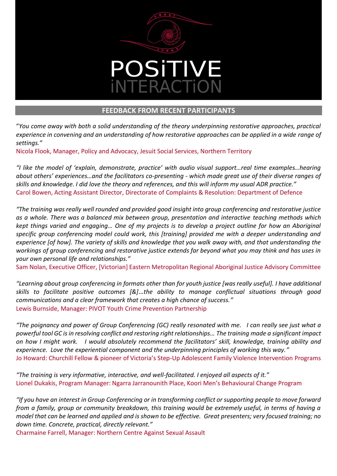

## **FEEDBACK FROM RECENT PARTICIPANTS**

"*You come away with both a solid understanding of the theory underpinning restorative approaches, practical experience in convening and an understanding of how restorative approaches can be applied in a wide range of settings."*

Nicola Flook, Manager, Policy and Advocacy, Jesuit Social Services, Northern Territory

*"I like the model of 'explain, demonstrate, practice' with audio visual support…real time examples…hearing about others' experiences…and the facilitators co-presenting - which made great use of their diverse ranges of skills and knowledge. I did love the theory and references, and this will inform my usual ADR practice."* Carol Bowen, Acting Assistant Director, Directorate of Complaints & Resolution: Department of Defence

*"The training was really well rounded and provided good insight into group conferencing and restorative justice as a whole. There was a balanced mix between group, presentation and interactive teaching methods which kept things varied and engaging… One of my projects is to develop a project outline for how an Aboriginal specific group conferencing model could work, this [training] provided me with a deeper understanding and experience [of how]. The variety of skills and knowledge that you walk away with, and that understanding the workings of group conferencing and restorative justice extends far beyond what you may think and has uses in your own personal life and relationships."*

Sam Nolan, Executive Officer, [Victorian] Eastern Metropolitan Regional Aboriginal Justice Advisory Committee

*"Learning about group conferencing in formats other than for youth justice [was really useful]. I have additional skills to facilitate positive outcomes [&]*…*the ability to manage conflictual situations through good communications and a clear framework that creates a high chance of success."* Lewis Burnside, Manager: PIVOT Youth Crime Prevention Partnership

*"The poignancy and power of Group Conferencing (GC) really resonated with me. I can really see just what a powerful tool GC is in resolving conflict and restoring right relationships… The training made a significant impact on how I might work. I would absolutely recommend the facilitators' skill, knowledge, training ability and experience. Love the experiential component and the underpinning principles of working this way."* Jo Howard: Churchill Fellow & pioneer of Victoria's Step-Up Adolescent Family Violence Intervention Programs

*"The training is very informative, interactive, and well-facilitated. I enjoyed all aspects of it."* Lionel Dukakis, Program Manager: Ngarra Jarranounith Place, Koori Men's Behavioural Change Program

*"If you have an interest in Group Conferencing or in transforming conflict or supporting people to move forward from a family, group or community breakdown, this training would be extremely useful, in terms of having a model that can be learned and applied and is shown to be effective. Great presenters; very focused training; no down time. Concrete, practical, directly relevant."* 

Charmaine Farrell, Manager: Northern Centre Against Sexual Assault